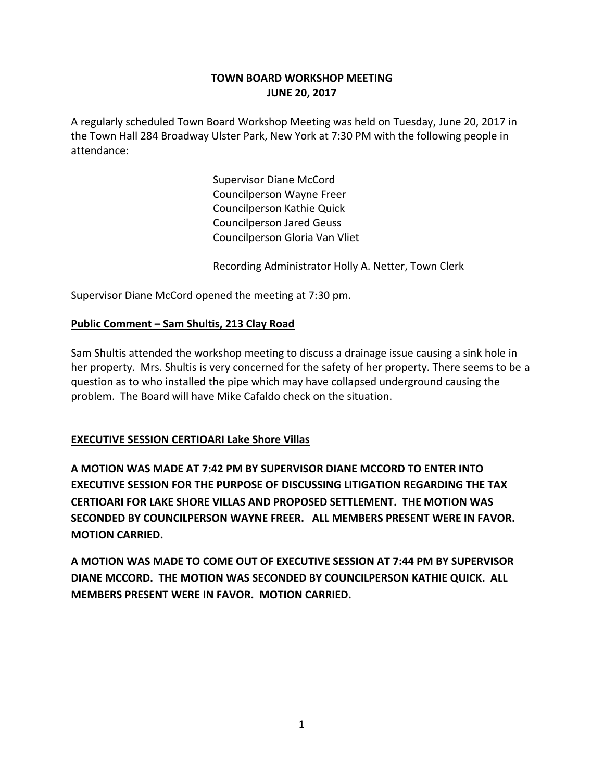# **TOWN BOARD WORKSHOP MEETING JUNE 20, 2017**

A regularly scheduled Town Board Workshop Meeting was held on Tuesday, June 20, 2017 in the Town Hall 284 Broadway Ulster Park, New York at 7:30 PM with the following people in attendance:

> Supervisor Diane McCord Councilperson Wayne Freer Councilperson Kathie Quick Councilperson Jared Geuss Councilperson Gloria Van Vliet

Recording Administrator Holly A. Netter, Town Clerk

Supervisor Diane McCord opened the meeting at 7:30 pm.

## **Public Comment – Sam Shultis, 213 Clay Road**

Sam Shultis attended the workshop meeting to discuss a drainage issue causing a sink hole in her property. Mrs. Shultis is very concerned for the safety of her property. There seems to be a question as to who installed the pipe which may have collapsed underground causing the problem. The Board will have Mike Cafaldo check on the situation.

# **EXECUTIVE SESSION CERTIOARI Lake Shore Villas**

**A MOTION WAS MADE AT 7:42 PM BY SUPERVISOR DIANE MCCORD TO ENTER INTO EXECUTIVE SESSION FOR THE PURPOSE OF DISCUSSING LITIGATION REGARDING THE TAX CERTIOARI FOR LAKE SHORE VILLAS AND PROPOSED SETTLEMENT. THE MOTION WAS SECONDED BY COUNCILPERSON WAYNE FREER. ALL MEMBERS PRESENT WERE IN FAVOR. MOTION CARRIED.**

**A MOTION WAS MADE TO COME OUT OF EXECUTIVE SESSION AT 7:44 PM BY SUPERVISOR DIANE MCCORD. THE MOTION WAS SECONDED BY COUNCILPERSON KATHIE QUICK. ALL MEMBERS PRESENT WERE IN FAVOR. MOTION CARRIED.**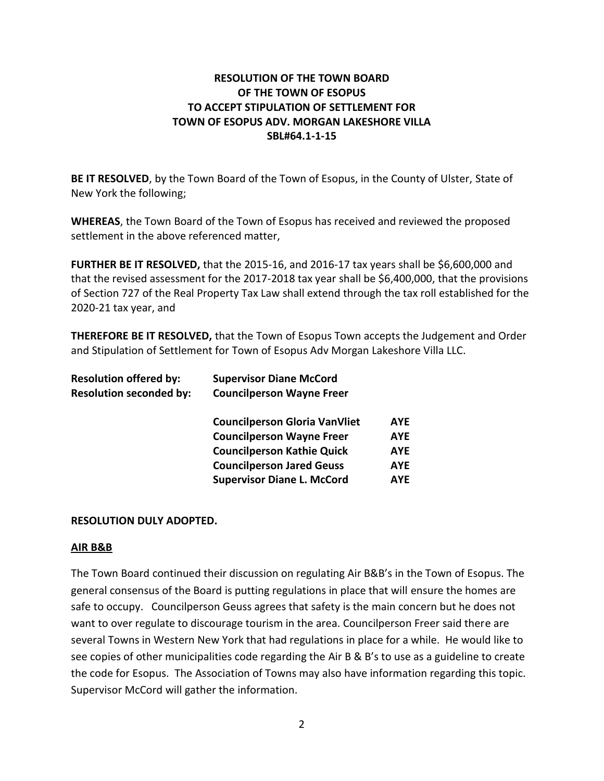# **RESOLUTION OF THE TOWN BOARD OF THE TOWN OF ESOPUS TO ACCEPT STIPULATION OF SETTLEMENT FOR TOWN OF ESOPUS ADV. MORGAN LAKESHORE VILLA SBL#64.1-1-15**

**BE IT RESOLVED**, by the Town Board of the Town of Esopus, in the County of Ulster, State of New York the following;

**WHEREAS**, the Town Board of the Town of Esopus has received and reviewed the proposed settlement in the above referenced matter,

**FURTHER BE IT RESOLVED,** that the 2015-16, and 2016-17 tax years shall be \$6,600,000 and that the revised assessment for the 2017-2018 tax year shall be \$6,400,000, that the provisions of Section 727 of the Real Property Tax Law shall extend through the tax roll established for the 2020-21 tax year, and

**THEREFORE BE IT RESOLVED,** that the Town of Esopus Town accepts the Judgement and Order and Stipulation of Settlement for Town of Esopus Adv Morgan Lakeshore Villa LLC.

| <b>Resolution offered by:</b>  | <b>Supervisor Diane McCord</b>       |            |
|--------------------------------|--------------------------------------|------------|
| <b>Resolution seconded by:</b> | <b>Councilperson Wayne Freer</b>     |            |
|                                | <b>Councilperson Gloria VanVliet</b> | <b>AYE</b> |
|                                | <b>Councilperson Wayne Freer</b>     | <b>AYE</b> |
|                                | <b>Councilperson Kathie Quick</b>    | AYE        |
|                                | <b>Councilperson Jared Geuss</b>     | AYE        |
|                                | <b>Supervisor Diane L. McCord</b>    | <b>AYF</b> |

### **RESOLUTION DULY ADOPTED.**

#### **AIR B&B**

The Town Board continued their discussion on regulating Air B&B's in the Town of Esopus. The general consensus of the Board is putting regulations in place that will ensure the homes are safe to occupy. Councilperson Geuss agrees that safety is the main concern but he does not want to over regulate to discourage tourism in the area. Councilperson Freer said there are several Towns in Western New York that had regulations in place for a while. He would like to see copies of other municipalities code regarding the Air B & B's to use as a guideline to create the code for Esopus. The Association of Towns may also have information regarding this topic. Supervisor McCord will gather the information.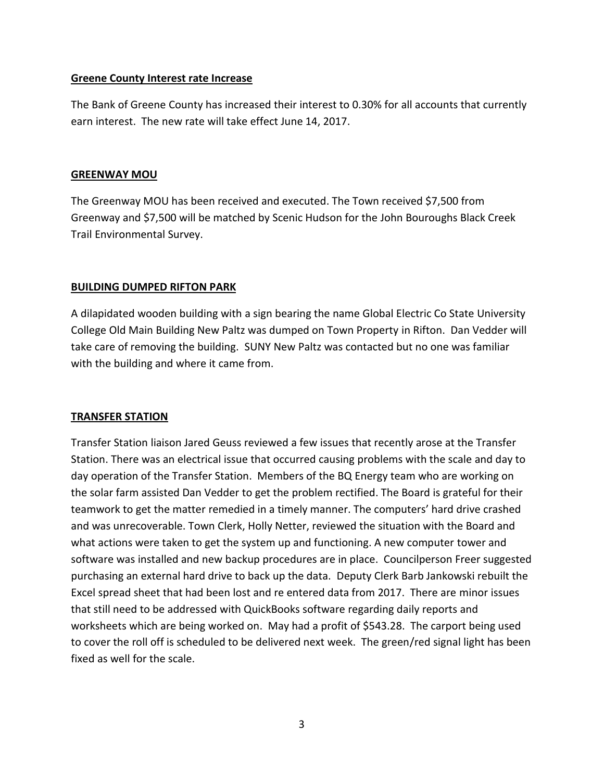### **Greene County Interest rate Increase**

The Bank of Greene County has increased their interest to 0.30% for all accounts that currently earn interest. The new rate will take effect June 14, 2017.

#### **GREENWAY MOU**

The Greenway MOU has been received and executed. The Town received \$7,500 from Greenway and \$7,500 will be matched by Scenic Hudson for the John Bouroughs Black Creek Trail Environmental Survey.

### **BUILDING DUMPED RIFTON PARK**

A dilapidated wooden building with a sign bearing the name Global Electric Co State University College Old Main Building New Paltz was dumped on Town Property in Rifton. Dan Vedder will take care of removing the building. SUNY New Paltz was contacted but no one was familiar with the building and where it came from.

#### **TRANSFER STATION**

Transfer Station liaison Jared Geuss reviewed a few issues that recently arose at the Transfer Station. There was an electrical issue that occurred causing problems with the scale and day to day operation of the Transfer Station. Members of the BQ Energy team who are working on the solar farm assisted Dan Vedder to get the problem rectified. The Board is grateful for their teamwork to get the matter remedied in a timely manner. The computers' hard drive crashed and was unrecoverable. Town Clerk, Holly Netter, reviewed the situation with the Board and what actions were taken to get the system up and functioning. A new computer tower and software was installed and new backup procedures are in place. Councilperson Freer suggested purchasing an external hard drive to back up the data. Deputy Clerk Barb Jankowski rebuilt the Excel spread sheet that had been lost and re entered data from 2017. There are minor issues that still need to be addressed with QuickBooks software regarding daily reports and worksheets which are being worked on. May had a profit of \$543.28. The carport being used to cover the roll off is scheduled to be delivered next week. The green/red signal light has been fixed as well for the scale.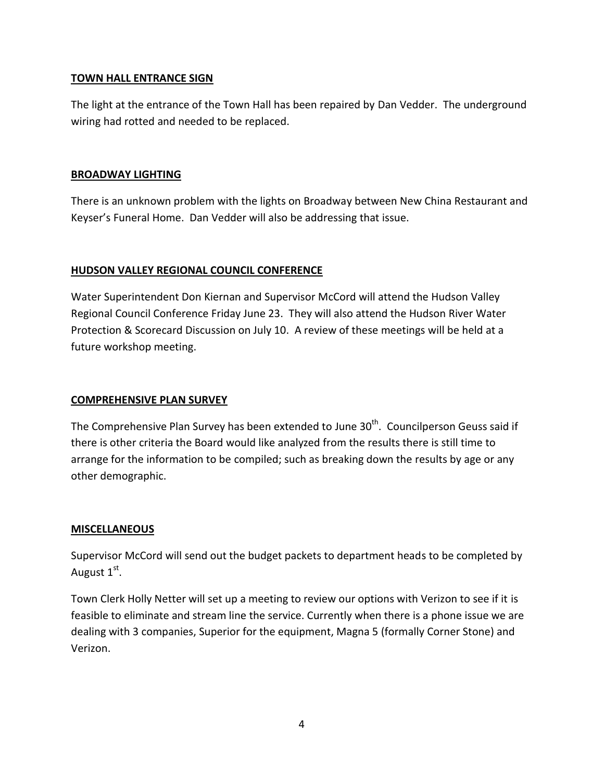## **TOWN HALL ENTRANCE SIGN**

The light at the entrance of the Town Hall has been repaired by Dan Vedder. The underground wiring had rotted and needed to be replaced.

## **BROADWAY LIGHTING**

There is an unknown problem with the lights on Broadway between New China Restaurant and Keyser's Funeral Home. Dan Vedder will also be addressing that issue.

# **HUDSON VALLEY REGIONAL COUNCIL CONFERENCE**

Water Superintendent Don Kiernan and Supervisor McCord will attend the Hudson Valley Regional Council Conference Friday June 23. They will also attend the Hudson River Water Protection & Scorecard Discussion on July 10. A review of these meetings will be held at a future workshop meeting.

### **COMPREHENSIVE PLAN SURVEY**

The Comprehensive Plan Survey has been extended to June 30<sup>th</sup>. Councilperson Geuss said if there is other criteria the Board would like analyzed from the results there is still time to arrange for the information to be compiled; such as breaking down the results by age or any other demographic.

### **MISCELLANEOUS**

Supervisor McCord will send out the budget packets to department heads to be completed by August 1st.

Town Clerk Holly Netter will set up a meeting to review our options with Verizon to see if it is feasible to eliminate and stream line the service. Currently when there is a phone issue we are dealing with 3 companies, Superior for the equipment, Magna 5 (formally Corner Stone) and Verizon.